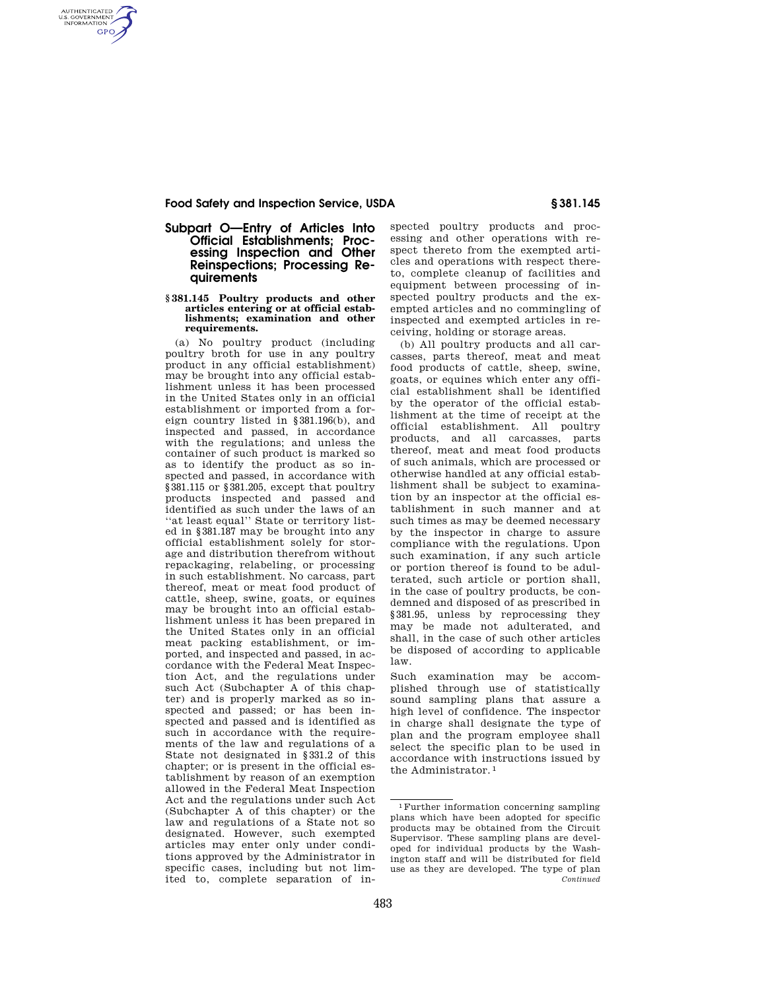# **Food Safety and Inspection Service, USDA § 381.145**

AUTHENTICATED<br>U.S. GOVERNMENT<br>INFORMATION **GPO** 

# **Subpart O—Entry of Articles Into Official Establishments; Processing Inspection and Other Reinspections; Processing Requirements**

### **§ 381.145 Poultry products and other articles entering or at official establishments; examination and other requirements.**

(a) No poultry product (including poultry broth for use in any poultry product in any official establishment) may be brought into any official establishment unless it has been processed in the United States only in an official establishment or imported from a foreign country listed in §381.196(b), and inspected and passed, in accordance with the regulations; and unless the container of such product is marked so as to identify the product as so inspected and passed, in accordance with §381.115 or §381.205, except that poultry products inspected and passed and identified as such under the laws of an ''at least equal'' State or territory listed in §381.187 may be brought into any official establishment solely for storage and distribution therefrom without repackaging, relabeling, or processing in such establishment. No carcass, part thereof, meat or meat food product of cattle, sheep, swine, goats, or equines may be brought into an official establishment unless it has been prepared in the United States only in an official meat packing establishment, or imported, and inspected and passed, in accordance with the Federal Meat Inspection Act, and the regulations under such Act (Subchapter A of this chapter) and is properly marked as so inspected and passed; or has been inspected and passed and is identified as such in accordance with the requirements of the law and regulations of a State not designated in §331.2 of this chapter; or is present in the official establishment by reason of an exemption allowed in the Federal Meat Inspection Act and the regulations under such Act (Subchapter A of this chapter) or the law and regulations of a State not so designated. However, such exempted articles may enter only under conditions approved by the Administrator in specific cases, including but not limited to, complete separation of inspected poultry products and processing and other operations with respect thereto from the exempted articles and operations with respect thereto, complete cleanup of facilities and equipment between processing of inspected poultry products and the exempted articles and no commingling of inspected and exempted articles in receiving, holding or storage areas.

(b) All poultry products and all carcasses, parts thereof, meat and meat food products of cattle, sheep, swine, goats, or equines which enter any official establishment shall be identified by the operator of the official establishment at the time of receipt at the official establishment. All poultry products, and all carcasses, parts thereof, meat and meat food products of such animals, which are processed or otherwise handled at any official establishment shall be subject to examination by an inspector at the official establishment in such manner and at such times as may be deemed necessary by the inspector in charge to assure compliance with the regulations. Upon such examination, if any such article or portion thereof is found to be adulterated, such article or portion shall, in the case of poultry products, be condemned and disposed of as prescribed in §381.95, unless by reprocessing they may be made not adulterated, and shall, in the case of such other articles be disposed of according to applicable law.

Such examination may be accomplished through use of statistically sound sampling plans that assure a high level of confidence. The inspector in charge shall designate the type of plan and the program employee shall select the specific plan to be used in accordance with instructions issued by the Administrator. 1

<sup>1</sup>Further information concerning sampling plans which have been adopted for specific products may be obtained from the Circuit Supervisor. These sampling plans are developed for individual products by the Washington staff and will be distributed for field use as they are developed. The type of plan *Continued*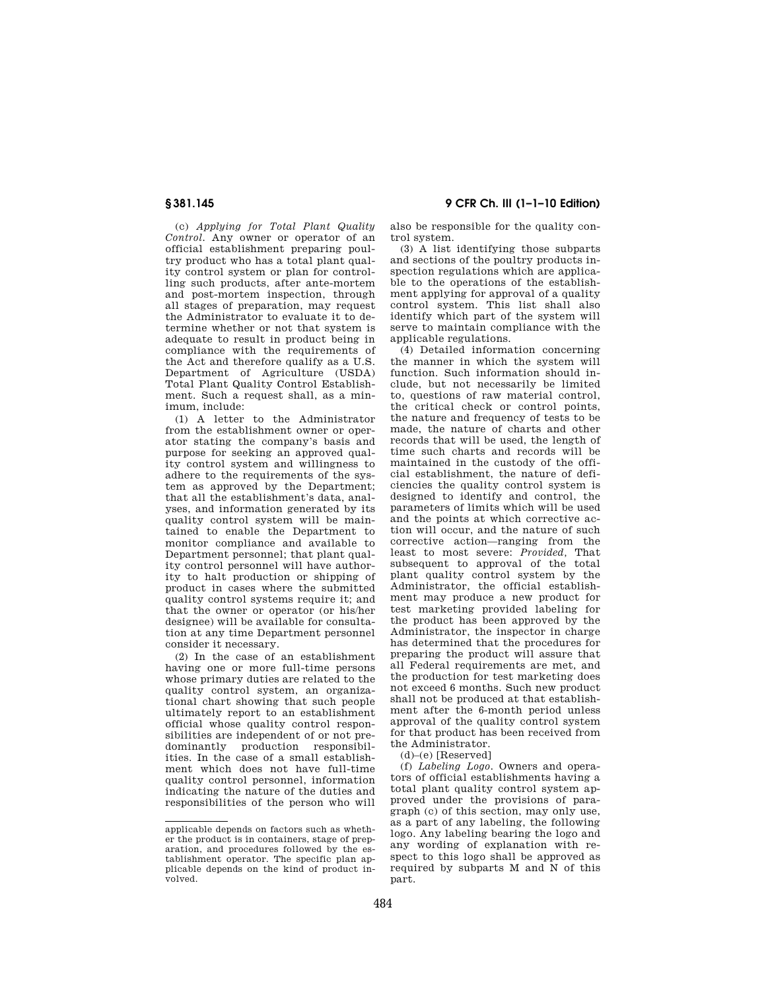(c) *Applying for Total Plant Quality Control.* Any owner or operator of an official establishment preparing poultry product who has a total plant quality control system or plan for controlling such products, after ante-mortem and post-mortem inspection, through all stages of preparation, may request the Administrator to evaluate it to determine whether or not that system is adequate to result in product being in compliance with the requirements of the Act and therefore qualify as a U.S. Department of Agriculture (USDA) Total Plant Quality Control Establishment. Such a request shall, as a minimum, include:

(1) A letter to the Administrator from the establishment owner or operator stating the company's basis and purpose for seeking an approved quality control system and willingness to adhere to the requirements of the system as approved by the Department; that all the establishment's data, analyses, and information generated by its quality control system will be maintained to enable the Department to monitor compliance and available to Department personnel; that plant quality control personnel will have authority to halt production or shipping of product in cases where the submitted quality control systems require it; and that the owner or operator (or his/her designee) will be available for consultation at any time Department personnel consider it necessary.

(2) In the case of an establishment having one or more full-time persons whose primary duties are related to the quality control system, an organizational chart showing that such people ultimately report to an establishment official whose quality control responsibilities are independent of or not predominantly production responsibilities. In the case of a small establishment which does not have full-time quality control personnel, information indicating the nature of the duties and responsibilities of the person who will

**§ 381.145 9 CFR Ch. III (1–1–10 Edition)** 

also be responsible for the quality control system.

(3) A list identifying those subparts and sections of the poultry products inspection regulations which are applicable to the operations of the establishment applying for approval of a quality control system. This list shall also identify which part of the system will serve to maintain compliance with the applicable regulations.

(4) Detailed information concerning the manner in which the system will function. Such information should include, but not necessarily be limited to, questions of raw material control, the critical check or control points, the nature and frequency of tests to be made, the nature of charts and other records that will be used, the length of time such charts and records will be maintained in the custody of the official establishment, the nature of deficiencies the quality control system is designed to identify and control, the parameters of limits which will be used and the points at which corrective action will occur, and the nature of such corrective action—ranging from the least to most severe: *Provided,* That subsequent to approval of the total plant quality control system by the Administrator, the official establishment may produce a new product for test marketing provided labeling for the product has been approved by the Administrator, the inspector in charge has determined that the procedures for preparing the product will assure that all Federal requirements are met, and the production for test marketing does not exceed 6 months. Such new product shall not be produced at that establishment after the 6-month period unless approval of the quality control system for that product has been received from the Administrator.

 $(d)$ – $(e)$  [Reserved]

(f) *Labeling Logo.* Owners and operators of official establishments having a total plant quality control system approved under the provisions of paragraph (c) of this section, may only use, as a part of any labeling, the following logo. Any labeling bearing the logo and any wording of explanation with respect to this logo shall be approved as required by subparts M and N of this part.

applicable depends on factors such as whether the product is in containers, stage of preparation, and procedures followed by the establishment operator. The specific plan applicable depends on the kind of product involved.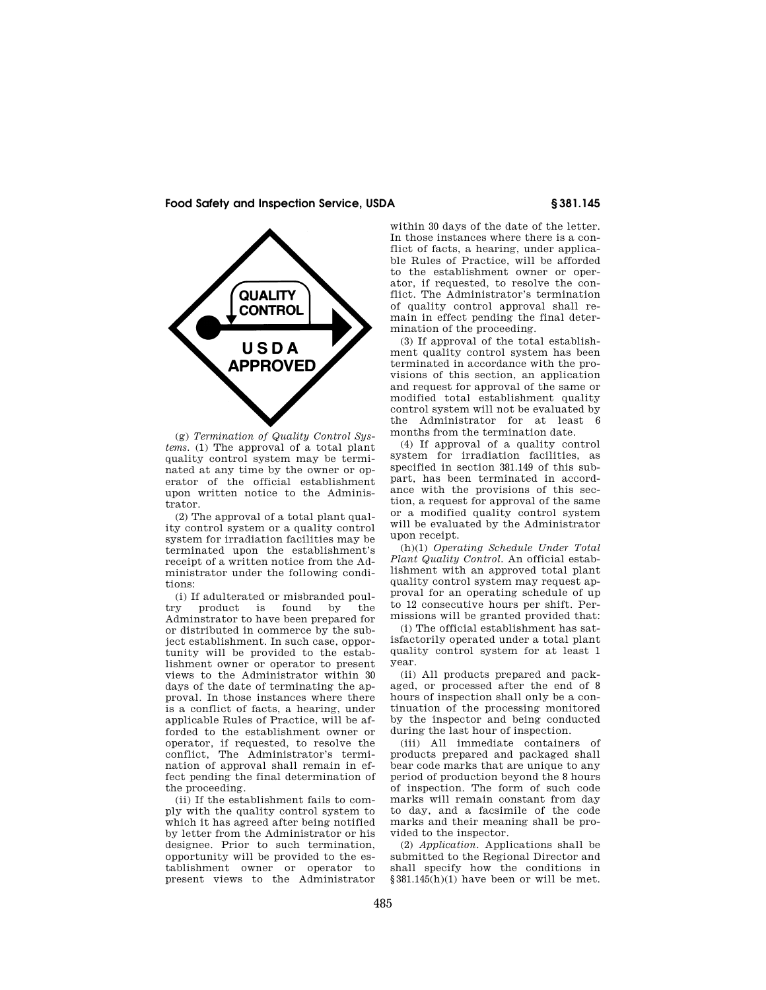

(g) *Termination of Quality Control Systems.* (1) The approval of a total plant quality control system may be terminated at any time by the owner or operator of the official establishment upon written notice to the Administrator.

(2) The approval of a total plant quality control system or a quality control system for irradiation facilities may be terminated upon the establishment's receipt of a written notice from the Administrator under the following conditions:

(i) If adulterated or misbranded poul-<br>v product is found by the try product is found by Adminstrator to have been prepared for or distributed in commerce by the subject establishment. In such case, opportunity will be provided to the establishment owner or operator to present views to the Administrator within 30 days of the date of terminating the approval. In those instances where there is a conflict of facts, a hearing, under applicable Rules of Practice, will be afforded to the establishment owner or operator, if requested, to resolve the conflict, The Administrator's termination of approval shall remain in effect pending the final determination of the proceeding.

(ii) If the establishment fails to comply with the quality control system to which it has agreed after being notified by letter from the Administrator or his designee. Prior to such termination, opportunity will be provided to the establishment owner or operator to present views to the Administrator

within 30 days of the date of the letter. In those instances where there is a conflict of facts, a hearing, under applicable Rules of Practice, will be afforded to the establishment owner or operator, if requested, to resolve the conflict. The Administrator's termination of quality control approval shall remain in effect pending the final determination of the proceeding.

(3) If approval of the total establishment quality control system has been terminated in accordance with the provisions of this section, an application and request for approval of the same or modified total establishment quality control system will not be evaluated by the Administrator for at least 6 months from the termination date.

(4) If approval of a quality control system for irradiation facilities, as specified in section 381.149 of this subpart, has been terminated in accordance with the provisions of this section, a request for approval of the same or a modified quality control system will be evaluated by the Administrator upon receipt.

(h)(1) *Operating Schedule Under Total Plant Quality Control.* An official establishment with an approved total plant quality control system may request approval for an operating schedule of up to 12 consecutive hours per shift. Permissions will be granted provided that:

(i) The official establishment has satisfactorily operated under a total plant quality control system for at least 1 year.

(ii) All products prepared and packaged, or processed after the end of 8 hours of inspection shall only be a continuation of the processing monitored by the inspector and being conducted during the last hour of inspection.

(iii) All immediate containers of products prepared and packaged shall bear code marks that are unique to any period of production beyond the 8 hours of inspection. The form of such code marks will remain constant from day to day, and a facsimile of the code marks and their meaning shall be provided to the inspector.

(2) *Application.* Applications shall be submitted to the Regional Director and shall specify how the conditions in  $§ 381.145(h)(1)$  have been or will be met.